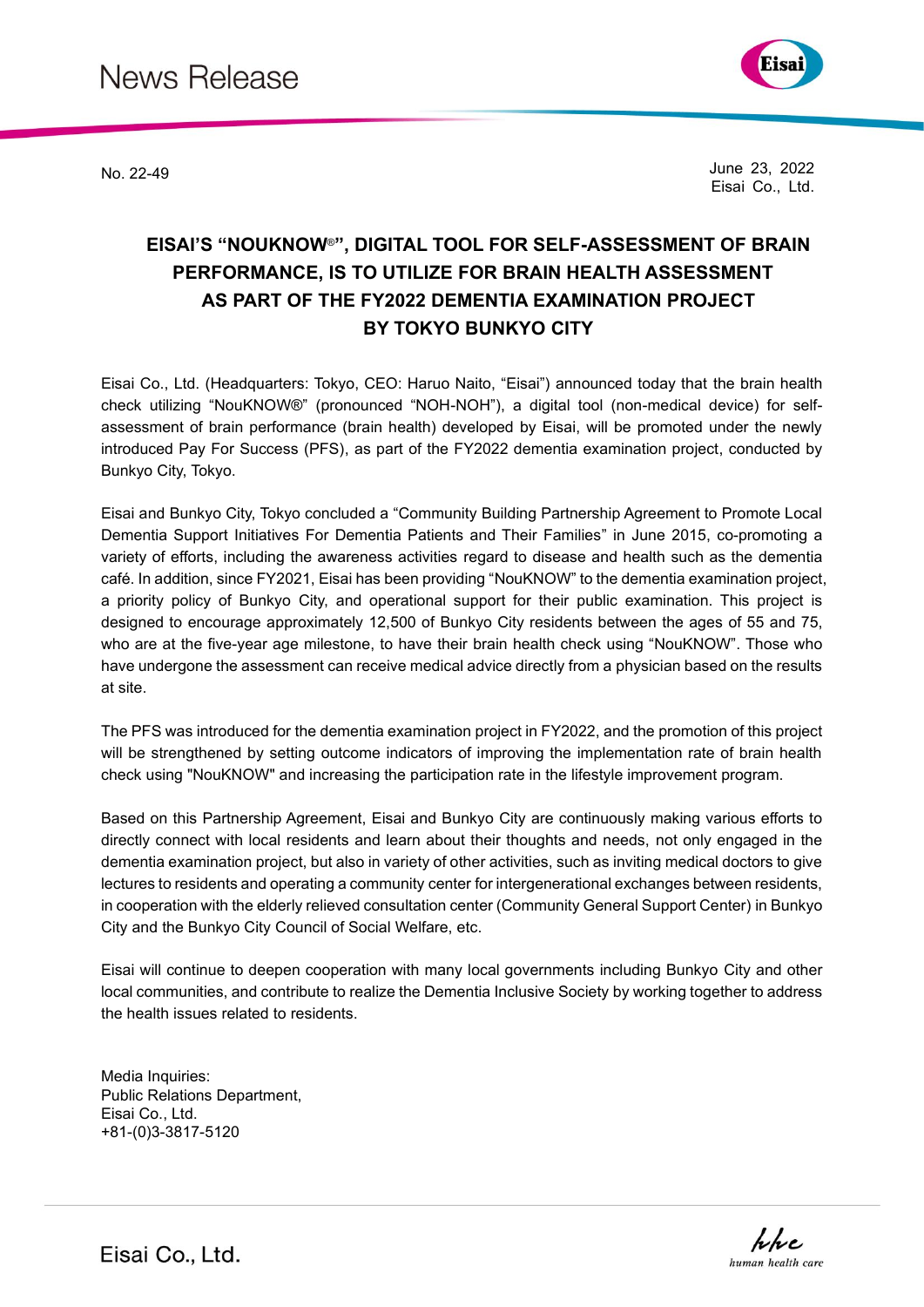

No. 22-49 June 23, 2022 Eisai Co., Ltd.

## **EISAI'S "NOUKNOW**®**", DIGITAL TOOL FOR SELF-ASSESSMENT OF BRAIN PERFORMANCE, IS TO UTILIZE FOR BRAIN HEALTH ASSESSMENT AS PART OF THE FY2022 DEMENTIA EXAMINATION PROJECT BY TOKYO BUNKYO CITY**

Eisai Co., Ltd. (Headquarters: Tokyo, CEO: Haruo Naito, "Eisai") announced today that the brain health check utilizing "NouKNOW®" (pronounced "NOH-NOH"), a digital tool (non-medical device) for selfassessment of brain performance (brain health) developed by Eisai, will be promoted under the newly introduced Pay For Success (PFS), as part of the FY2022 dementia examination project, conducted by Bunkyo City, Tokyo.

Eisai and Bunkyo City, Tokyo concluded a "Community Building Partnership Agreement to Promote Local Dementia Support Initiatives For Dementia Patients and Their Families" in June 2015, co-promoting a variety of efforts, including the awareness activities regard to disease and health such as the dementia café. In addition, since FY2021, Eisai has been providing "NouKNOW" to the dementia examination project, a priority policy of Bunkyo City, and operational support for their public examination. This project is designed to encourage approximately 12,500 of Bunkyo City residents between the ages of 55 and 75, who are at the five-year age milestone, to have their brain health check using "NouKNOW". Those who have undergone the assessment can receive medical advice directly from a physician based on the results at site.

The PFS was introduced for the dementia examination project in FY2022, and the promotion of this project will be strengthened by setting outcome indicators of improving the implementation rate of brain health check using "NouKNOW" and increasing the participation rate in the lifestyle improvement program.

Based on this Partnership Agreement, Eisai and Bunkyo City are continuously making various efforts to directly connect with local residents and learn about their thoughts and needs, not only engaged in the dementia examination project, but also in variety of other activities, such as inviting medical doctors to give lectures to residents and operating a community center for intergenerational exchanges between residents, in cooperation with the elderly relieved consultation center (Community General Support Center) in Bunkyo City and the Bunkyo City Council of Social Welfare, etc.

Eisai will continue to deepen cooperation with many local governments including Bunkyo City and other local communities, and contribute to realize the Dementia Inclusive Society by working together to address the health issues related to residents.

Media Inquiries: Public Relations Department, Eisai Co., Ltd. +81-(0)3-3817-5120



Eisai Co., Ltd.